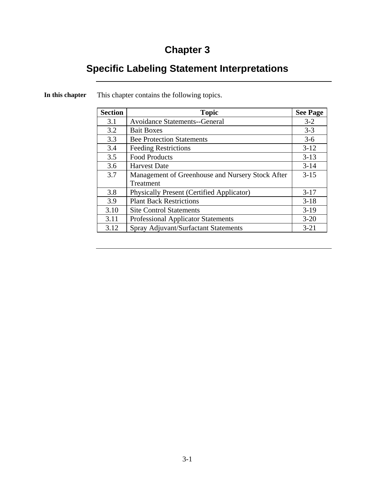# **Chapter 3**

# **Specific Labeling Statement Interpretations**

| <b>Section</b> | <b>Topic</b>                                     | <b>See Page</b> |
|----------------|--------------------------------------------------|-----------------|
| 3.1            | <b>Avoidance Statements--General</b>             | $3 - 2$         |
| 3.2            | <b>Bait Boxes</b>                                | $3 - 3$         |
| 3.3            | <b>Bee Protection Statements</b>                 | $3-6$           |
| 3.4            | <b>Feeding Restrictions</b>                      | $3-12$          |
| 3.5            | <b>Food Products</b>                             | $3 - 13$        |
| 3.6            | <b>Harvest Date</b>                              | $3 - 14$        |
| 3.7            | Management of Greenhouse and Nursery Stock After | $3 - 15$        |
|                | Treatment                                        |                 |
| 3.8            | <b>Physically Present (Certified Applicator)</b> | $3 - 17$        |
| 3.9            | <b>Plant Back Restrictions</b>                   | $3-18$          |
| 3.10           | <b>Site Control Statements</b>                   | $3-19$          |
| 3.11           | <b>Professional Applicator Statements</b>        | $3 - 20$        |
| 3.12           | Spray Adjuvant/Surfactant Statements             | $3 - 21$        |

**In this chapter** This chapter contains the following topics.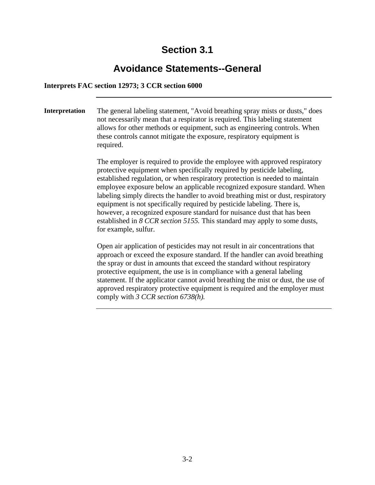### **Avoidance Statements--General**

#### **Interprets FAC section 12973; 3 CCR section 6000**

**Interpretation** The general labeling statement, "Avoid breathing spray mists or dusts," does not necessarily mean that a respirator is required. This labeling statement allows for other methods or equipment, such as engineering controls. When these controls cannot mitigate the exposure, respiratory equipment is required.

> The employer is required to provide the employee with approved respiratory protective equipment when specifically required by pesticide labeling, established regulation, or when respiratory protection is needed to maintain employee exposure below an applicable recognized exposure standard. When labeling simply directs the handler to avoid breathing mist or dust, respiratory equipment is not specifically required by pesticide labeling. There is, however, a recognized exposure standard for nuisance dust that has been established in *8 CCR section 5155.* This standard may apply to some dusts, for example, sulfur.

> Open air application of pesticides may not result in air concentrations that approach or exceed the exposure standard. If the handler can avoid breathing the spray or dust in amounts that exceed the standard without respiratory protective equipment, the use is in compliance with a general labeling statement. If the applicator cannot avoid breathing the mist or dust, the use of approved respiratory protective equipment is required and the employer must comply with *3 CCR section 6738(h).*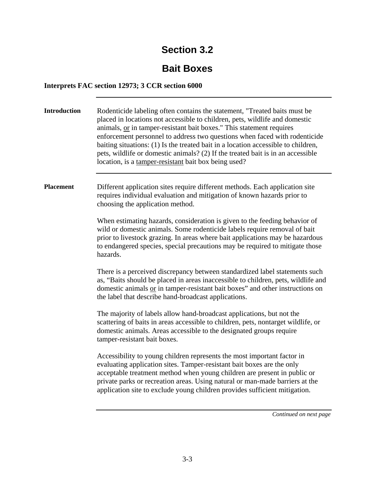## **Bait Boxes**

### **Interprets FAC section 12973; 3 CCR section 6000**

| <b>Introduction</b> | Rodenticide labeling often contains the statement, "Treated baits must be<br>placed in locations not accessible to children, pets, wildlife and domestic<br>animals, or in tamper-resistant bait boxes." This statement requires<br>enforcement personnel to address two questions when faced with rodenticide<br>baiting situations: (1) Is the treated bait in a location accessible to children,<br>pets, wildlife or domestic animals? (2) If the treated bait is in an accessible<br>location, is a tamper-resistant bait box being used? |
|---------------------|------------------------------------------------------------------------------------------------------------------------------------------------------------------------------------------------------------------------------------------------------------------------------------------------------------------------------------------------------------------------------------------------------------------------------------------------------------------------------------------------------------------------------------------------|
| <b>Placement</b>    | Different application sites require different methods. Each application site<br>requires individual evaluation and mitigation of known hazards prior to<br>choosing the application method.                                                                                                                                                                                                                                                                                                                                                    |
|                     | When estimating hazards, consideration is given to the feeding behavior of<br>wild or domestic animals. Some rodenticide labels require removal of bait<br>prior to livestock grazing. In areas where bait applications may be hazardous<br>to endangered species, special precautions may be required to mitigate those<br>hazards.                                                                                                                                                                                                           |
|                     | There is a perceived discrepancy between standardized label statements such<br>as, "Baits should be placed in areas inaccessible to children, pets, wildlife and<br>domestic animals or in tamper-resistant bait boxes" and other instructions on<br>the label that describe hand-broadcast applications.                                                                                                                                                                                                                                      |
|                     | The majority of labels allow hand-broadcast applications, but not the<br>scattering of baits in areas accessible to children, pets, nontarget wildlife, or<br>domestic animals. Areas accessible to the designated groups require<br>tamper-resistant bait boxes.                                                                                                                                                                                                                                                                              |
|                     | Accessibility to young children represents the most important factor in<br>evaluating application sites. Tamper-resistant bait boxes are the only<br>acceptable treatment method when young children are present in public or<br>private parks or recreation areas. Using natural or man-made barriers at the<br>application site to exclude young children provides sufficient mitigation.                                                                                                                                                    |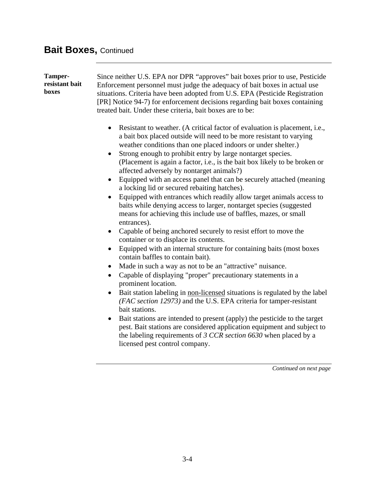# **Bait Boxes, Continued**

| Tamper-<br>resistant bait<br><b>boxes</b> | Since neither U.S. EPA nor DPR "approves" bait boxes prior to use, Pesticide<br>Enforcement personnel must judge the adequacy of bait boxes in actual use<br>situations. Criteria have been adopted from U.S. EPA (Pesticide Registration<br>[PR] Notice 94-7) for enforcement decisions regarding bait boxes containing<br>treated bait. Under these criteria, bait boxes are to be:<br>Resistant to weather. (A critical factor of evaluation is placement, i.e.,<br>$\bullet$<br>a bait box placed outside will need to be more resistant to varying<br>weather conditions than one placed indoors or under shelter.)<br>Strong enough to prohibit entry by large nontarget species.<br>$\bullet$<br>(Placement is again a factor, i.e., is the bait box likely to be broken or<br>affected adversely by nontarget animals?)<br>Equipped with an access panel that can be securely attached (meaning<br>a locking lid or secured rebaiting hatches).<br>Equipped with entrances which readily allow target animals access to<br>$\bullet$<br>baits while denying access to larger, nontarget species (suggested<br>means for achieving this include use of baffles, mazes, or small<br>entrances).<br>Capable of being anchored securely to resist effort to move the<br>٠<br>container or to displace its contents.<br>Equipped with an internal structure for containing baits (most boxes<br>$\bullet$<br>contain baffles to contain bait).<br>Made in such a way as not to be an "attractive" nuisance.<br>$\bullet$<br>Capable of displaying "proper" precautionary statements in a<br>$\bullet$<br>prominent location.<br>Bait station labeling in non-licensed situations is regulated by the label<br>$\bullet$<br>(FAC section 12973) and the U.S. EPA criteria for tamper-resistant<br>bait stations.<br>Bait stations are intended to present (apply) the pesticide to the target<br>$\bullet$ |
|-------------------------------------------|--------------------------------------------------------------------------------------------------------------------------------------------------------------------------------------------------------------------------------------------------------------------------------------------------------------------------------------------------------------------------------------------------------------------------------------------------------------------------------------------------------------------------------------------------------------------------------------------------------------------------------------------------------------------------------------------------------------------------------------------------------------------------------------------------------------------------------------------------------------------------------------------------------------------------------------------------------------------------------------------------------------------------------------------------------------------------------------------------------------------------------------------------------------------------------------------------------------------------------------------------------------------------------------------------------------------------------------------------------------------------------------------------------------------------------------------------------------------------------------------------------------------------------------------------------------------------------------------------------------------------------------------------------------------------------------------------------------------------------------------------------------------------------------------------------------------------------------------------------------------------------------------------------------|
|                                           | pest. Bait stations are considered application equipment and subject to<br>the labeling requirements of 3 CCR section $6630$ when placed by a<br>licensed pest control company.                                                                                                                                                                                                                                                                                                                                                                                                                                                                                                                                                                                                                                                                                                                                                                                                                                                                                                                                                                                                                                                                                                                                                                                                                                                                                                                                                                                                                                                                                                                                                                                                                                                                                                                              |
|                                           | Continued on next page                                                                                                                                                                                                                                                                                                                                                                                                                                                                                                                                                                                                                                                                                                                                                                                                                                                                                                                                                                                                                                                                                                                                                                                                                                                                                                                                                                                                                                                                                                                                                                                                                                                                                                                                                                                                                                                                                       |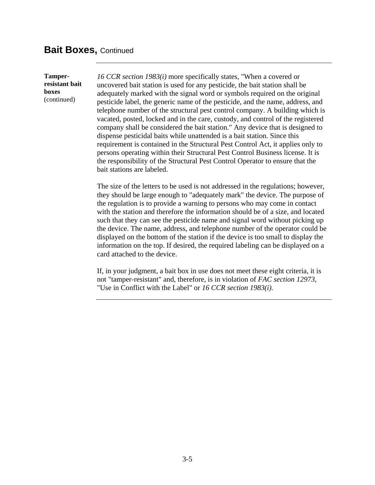### **Bait Boxes, Continued**

**Tamperresistant bait boxes**  (continued)

*16 CCR section 1983(i)* more specifically states, "When a covered or uncovered bait station is used for any pesticide, the bait station shall be adequately marked with the signal word or symbols required on the original pesticide label, the generic name of the pesticide, and the name, address, and telephone number of the structural pest control company. A building which is vacated, posted, locked and in the care, custody, and control of the registered company shall be considered the bait station." Any device that is designed to dispense pesticidal baits while unattended is a bait station. Since this requirement is contained in the Structural Pest Control Act, it applies only to persons operating within their Structural Pest Control Business license. It is the responsibility of the Structural Pest Control Operator to ensure that the bait stations are labeled.

The size of the letters to be used is not addressed in the regulations; however, they should be large enough to "adequately mark" the device. The purpose of the regulation is to provide a warning to persons who may come in contact with the station and therefore the information should be of a size, and located such that they can see the pesticide name and signal word without picking up the device. The name, address, and telephone number of the operator could be displayed on the bottom of the station if the device is too small to display the information on the top. If desired, the required labeling can be displayed on a card attached to the device.

If, in your judgment, a bait box in use does not meet these eight criteria, it is not "tamper-resistant" and, therefore, is in violation of *FAC section 12973*, "Use in Conflict with the Label" or *16 CCR section 1983(i).*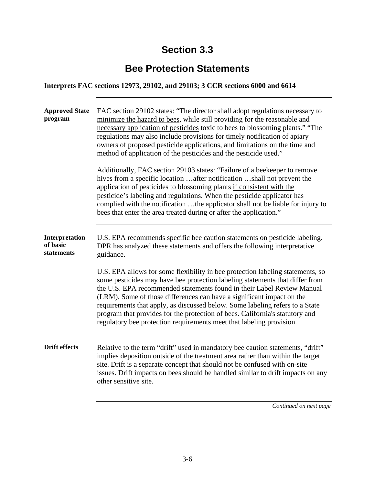## **Bee Protection Statements**

**Interprets FAC sections 12973, 29102, and 29103; 3 CCR sections 6000 and 6614** 

| <b>Approved State</b><br>program         | FAC section 29102 states: "The director shall adopt regulations necessary to<br>minimize the hazard to bees, while still providing for the reasonable and<br>necessary application of pesticides toxic to bees to blossoming plants." "The<br>regulations may also include provisions for timely notification of apiary<br>owners of proposed pesticide applications, and limitations on the time and<br>method of application of the pesticides and the pesticide used."<br>Additionally, FAC section 29103 states: "Failure of a beekeeper to remove<br>hives from a specific location after notification shall not prevent the<br>application of pesticides to blossoming plants if consistent with the<br>pesticide's labeling and regulations. When the pesticide applicator has<br>complied with the notification the applicator shall not be liable for injury to<br>bees that enter the area treated during or after the application." |
|------------------------------------------|------------------------------------------------------------------------------------------------------------------------------------------------------------------------------------------------------------------------------------------------------------------------------------------------------------------------------------------------------------------------------------------------------------------------------------------------------------------------------------------------------------------------------------------------------------------------------------------------------------------------------------------------------------------------------------------------------------------------------------------------------------------------------------------------------------------------------------------------------------------------------------------------------------------------------------------------|
| Interpretation<br>of basic<br>statements | U.S. EPA recommends specific bee caution statements on pesticide labeling.<br>DPR has analyzed these statements and offers the following interpretative<br>guidance.<br>U.S. EPA allows for some flexibility in bee protection labeling statements, so<br>some pesticides may have bee protection labeling statements that differ from<br>the U.S. EPA recommended statements found in their Label Review Manual<br>(LRM). Some of those differences can have a significant impact on the<br>requirements that apply, as discussed below. Some labeling refers to a State<br>program that provides for the protection of bees. California's statutory and<br>regulatory bee protection requirements meet that labeling provision.                                                                                                                                                                                                              |
| <b>Drift effects</b>                     | Relative to the term "drift" used in mandatory bee caution statements, "drift"<br>implies deposition outside of the treatment area rather than within the target<br>site. Drift is a separate concept that should not be confused with on-site<br>issues. Drift impacts on bees should be handled similar to drift impacts on any<br>other sensitive site.                                                                                                                                                                                                                                                                                                                                                                                                                                                                                                                                                                                     |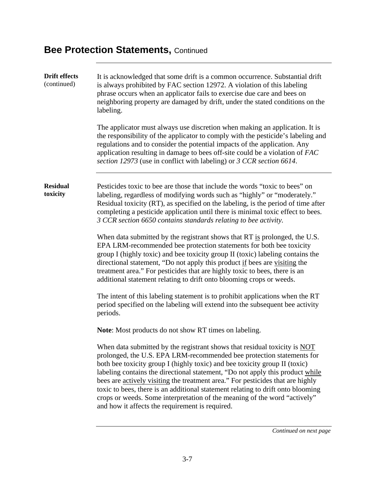| <b>Drift effects</b><br>(continued) | It is acknowledged that some drift is a common occurrence. Substantial drift<br>is always prohibited by FAC section 12972. A violation of this labeling<br>phrase occurs when an applicator fails to exercise due care and bees on<br>neighboring property are damaged by drift, under the stated conditions on the<br>labeling.<br>The applicator must always use discretion when making an application. It is                                                                                                                                                                                                        |
|-------------------------------------|------------------------------------------------------------------------------------------------------------------------------------------------------------------------------------------------------------------------------------------------------------------------------------------------------------------------------------------------------------------------------------------------------------------------------------------------------------------------------------------------------------------------------------------------------------------------------------------------------------------------|
|                                     | the responsibility of the applicator to comply with the pesticide's labeling and<br>regulations and to consider the potential impacts of the application. Any<br>application resulting in damage to bees off-site could be a violation of FAC<br>section 12973 (use in conflict with labeling) or 3 CCR section 6614.                                                                                                                                                                                                                                                                                                  |
| <b>Residual</b><br>toxicity         | Pesticides toxic to bee are those that include the words "toxic to bees" on<br>labeling, regardless of modifying words such as "highly" or "moderately."<br>Residual toxicity (RT), as specified on the labeling, is the period of time after<br>completing a pesticide application until there is minimal toxic effect to bees.<br>3 CCR section 6650 contains standards relating to bee activity.                                                                                                                                                                                                                    |
|                                     | When data submitted by the registrant shows that RT is prolonged, the U.S.<br>EPA LRM-recommended bee protection statements for both bee toxicity<br>group I (highly toxic) and bee toxicity group II (toxic) labeling contains the<br>directional statement, "Do not apply this product if bees are visiting the<br>treatment area." For pesticides that are highly toxic to bees, there is an<br>additional statement relating to drift onto blooming crops or weeds.                                                                                                                                                |
|                                     | The intent of this labeling statement is to prohibit applications when the RT<br>period specified on the labeling will extend into the subsequent bee activity<br>periods.                                                                                                                                                                                                                                                                                                                                                                                                                                             |
|                                     | <b>Note:</b> Most products do not show RT times on labeling.                                                                                                                                                                                                                                                                                                                                                                                                                                                                                                                                                           |
|                                     | When data submitted by the registrant shows that residual toxicity is NOT<br>prolonged, the U.S. EPA LRM-recommended bee protection statements for<br>both bee toxicity group I (highly toxic) and bee toxicity group II (toxic)<br>labeling contains the directional statement, "Do not apply this product while<br>bees are actively visiting the treatment area." For pesticides that are highly<br>toxic to bees, there is an additional statement relating to drift onto blooming<br>crops or weeds. Some interpretation of the meaning of the word "actively"<br>and how it affects the requirement is required. |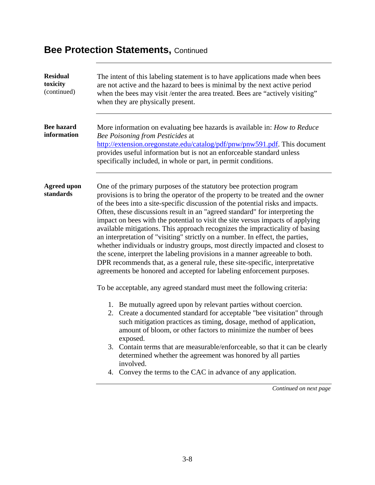| <b>Residual</b><br>toxicity<br>(continued) | The intent of this labeling statement is to have applications made when bees<br>are not active and the hazard to bees is minimal by the next active period<br>when the bees may visit / enter the area treated. Bees are "actively visiting"<br>when they are physically present.                                                                                                                                                                                                                                                                                                                                                                                                                                                                                                                                                                                                                    |
|--------------------------------------------|------------------------------------------------------------------------------------------------------------------------------------------------------------------------------------------------------------------------------------------------------------------------------------------------------------------------------------------------------------------------------------------------------------------------------------------------------------------------------------------------------------------------------------------------------------------------------------------------------------------------------------------------------------------------------------------------------------------------------------------------------------------------------------------------------------------------------------------------------------------------------------------------------|
| <b>Bee hazard</b><br>information           | More information on evaluating bee hazards is available in: How to Reduce<br>Bee Poisoning from Pesticides at<br>http://extension.oregonstate.edu/catalog/pdf/pnw/pnw591.pdf. This document<br>provides useful information but is not an enforceable standard unless<br>specifically included, in whole or part, in permit conditions.                                                                                                                                                                                                                                                                                                                                                                                                                                                                                                                                                               |
| <b>Agreed upon</b><br>standards            | One of the primary purposes of the statutory bee protection program<br>provisions is to bring the operator of the property to be treated and the owner<br>of the bees into a site-specific discussion of the potential risks and impacts.<br>Often, these discussions result in an "agreed standard" for interpreting the<br>impact on bees with the potential to visit the site versus impacts of applying<br>available mitigations. This approach recognizes the impracticality of basing<br>an interpretation of "visiting" strictly on a number. In effect, the parties,<br>whether individuals or industry groups, most directly impacted and closest to<br>the scene, interpret the labeling provisions in a manner agreeable to both.<br>DPR recommends that, as a general rule, these site-specific, interpretative<br>agreements be honored and accepted for labeling enforcement purposes. |
|                                            | To be acceptable, any agreed standard must meet the following criteria:                                                                                                                                                                                                                                                                                                                                                                                                                                                                                                                                                                                                                                                                                                                                                                                                                              |
|                                            | 1. Be mutually agreed upon by relevant parties without coercion.<br>2. Create a documented standard for acceptable "bee visitation" through<br>such mitigation practices as timing, dosage, method of application,<br>amount of bloom, or other factors to minimize the number of bees<br>exposed.                                                                                                                                                                                                                                                                                                                                                                                                                                                                                                                                                                                                   |
|                                            | 3. Contain terms that are measurable/enforceable, so that it can be clearly<br>determined whether the agreement was honored by all parties<br>involved.                                                                                                                                                                                                                                                                                                                                                                                                                                                                                                                                                                                                                                                                                                                                              |
|                                            | 4. Convey the terms to the CAC in advance of any application.                                                                                                                                                                                                                                                                                                                                                                                                                                                                                                                                                                                                                                                                                                                                                                                                                                        |
|                                            | Continued on next page                                                                                                                                                                                                                                                                                                                                                                                                                                                                                                                                                                                                                                                                                                                                                                                                                                                                               |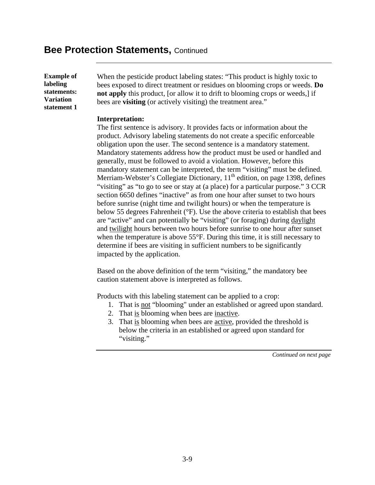**Example of labeling statements: Variation statement 1** 

When the pesticide product labeling states: "This product is highly toxic to bees exposed to direct treatment or residues on blooming crops or weeds. **Do not apply** this product, [or allow it to drift to blooming crops or weeds,] if bees are **visiting** (or actively visiting) the treatment area."

#### **Interpretation:**

The first sentence is advisory. It provides facts or information about the product. Advisory labeling statements do not create a specific enforceable obligation upon the user. The second sentence is a mandatory statement. Mandatory statements address how the product must be used or handled and generally, must be followed to avoid a violation. However, before this mandatory statement can be interpreted, the term "visiting" must be defined. Merriam-Webster's Collegiate Dictionary,  $11<sup>th</sup>$  edition, on page 1398, defines "visiting" as "to go to see or stay at (a place) for a particular purpose." 3 CCR section 6650 defines "inactive" as from one hour after sunset to two hours before sunrise (night time and twilight hours) or when the temperature is below 55 degrees Fahrenheit (°F). Use the above criteria to establish that bees are "active" and can potentially be "visiting" (or foraging) during daylight and twilight hours between two hours before sunrise to one hour after sunset when the temperature is above 55°F. During this time, it is still necessary to determine if bees are visiting in sufficient numbers to be significantly impacted by the application.

Based on the above definition of the term "visiting," the mandatory bee caution statement above is interpreted as follows.

Products with this labeling statement can be applied to a crop:

- 1. That is not "blooming" under an established or agreed upon standard.
- 2. That is blooming when bees are inactive.
- 3. That is blooming when bees are active, provided the threshold is below the criteria in an established or agreed upon standard for "visiting."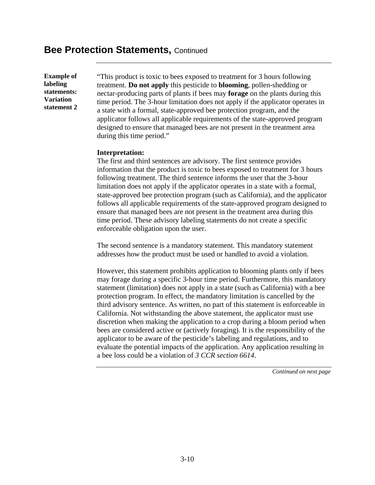**Example of labeling statements: Variation statement 2** 

"This product is toxic to bees exposed to treatment for 3 hours following treatment. **Do not apply** this pesticide to **blooming**, pollen-shedding or nectar-producing parts of plants if bees may **forage** on the plants during this time period. The 3-hour limitation does not apply if the applicator operates in a state with a formal, state-approved bee protection program, and the applicator follows all applicable requirements of the state-approved program designed to ensure that managed bees are not present in the treatment area during this time period."

#### **Interpretation:**

The first and third sentences are advisory. The first sentence provides information that the product is toxic to bees exposed to treatment for 3 hours following treatment. The third sentence informs the user that the 3-hour limitation does not apply if the applicator operates in a state with a formal, state-approved bee protection program (such as California), and the applicator follows all applicable requirements of the state-approved program designed to ensure that managed bees are not present in the treatment area during this time period. These advisory labeling statements do not create a specific enforceable obligation upon the user.

The second sentence is a mandatory statement. This mandatory statement addresses how the product must be used or handled to avoid a violation.

However, this statement prohibits application to blooming plants only if bees may forage during a specific 3-hour time period. Furthermore, this mandatory statement (limitation) does not apply in a state (such as California) with a bee protection program. In effect, the mandatory limitation is cancelled by the third advisory sentence. As written, no part of this statement is enforceable in California. Not withstanding the above statement, the applicator must use discretion when making the application to a crop during a bloom period when bees are considered active or (actively foraging). It is the responsibility of the applicator to be aware of the pesticide's labeling and regulations, and to evaluate the potential impacts of the application. Any application resulting in a bee loss could be a violation of *3 CCR section 6614*.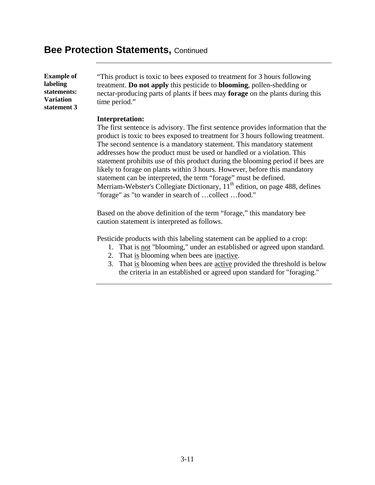**Example of labeling statements: Variation statement 3** 

"This product is toxic to bees exposed to treatment for 3 hours following treatment. **Do not apply** this pesticide to **blooming**, pollen-shedding or nectar-producing parts of plants if bees may **forage** on the plants during this time period."

#### **Interpretation:**

The first sentence is advisory. The first sentence provides information that the product is toxic to bees exposed to treatment for 3 hours following treatment. The second sentence is a mandatory statement. This mandatory statement addresses how the product must be used or handled or a violation. This statement prohibits use of this product during the blooming period if bees are likely to forage on plants within 3 hours. However, before this mandatory statement can be interpreted, the term "forage" must be defined. Merriam-Webster's Collegiate Dictionary,  $11<sup>th</sup>$  edition, on page 488, defines "forage" as "to wander in search of …collect …food."

Based on the above definition of the term "forage," this mandatory bee caution statement is interpreted as follows.

Pesticide products with this labeling statement can be applied to a crop:

- 1. That is not "blooming," under an established or agreed upon standard.
- 2. That is blooming when bees are inactive.
- 3. That is blooming when bees are active provided the threshold is below the criteria in an established or agreed upon standard for "foraging."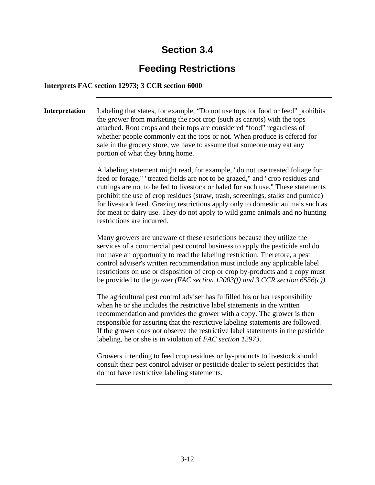## **Feeding Restrictions**

### **Interprets FAC section 12973; 3 CCR section 6000**

**Interpretation** Labeling that states, for example, "Do not use tops for food or feed" prohibits the grower from marketing the root crop (such as carrots) with the tops attached. Root crops and their tops are considered "food" regardless of whether people commonly eat the tops or not. When produce is offered for sale in the grocery store, we have to assume that someone may eat any portion of what they bring home.

> A labeling statement might read, for example, "do not use treated foliage for feed or forage," "treated fields are not to be grazed," and "crop residues and cuttings are not to be fed to livestock or baled for such use." These statements prohibit the use of crop residues (straw, trash, screenings, stalks and pumice) for livestock feed. Grazing restrictions apply only to domestic animals such as for meat or dairy use. They do not apply to wild game animals and no hunting restrictions are incurred.

> Many growers are unaware of these restrictions because they utilize the services of a commercial pest control business to apply the pesticide and do not have an opportunity to read the labeling restriction. Therefore, a pest control adviser's written recommendation must include any applicable label restrictions on use or disposition of crop or crop by-products and a copy must be provided to the grower *(FAC section 12003(f) and 3 CCR section 6556(c))*.

The agricultural pest control adviser has fulfilled his or her responsibility when he or she includes the restrictive label statements in the written recommendation and provides the grower with a copy. The grower is then responsible for assuring that the restrictive labeling statements are followed. If the grower does not observe the restrictive label statements in the pesticide labeling, he or she is in violation of *FAC section 12973.* 

Growers intending to feed crop residues or by-products to livestock should consult their pest control adviser or pesticide dealer to select pesticides that do not have restrictive labeling statements.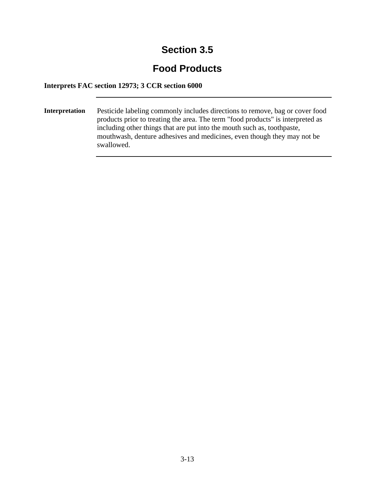# **Food Products**

### **Interprets FAC section 12973; 3 CCR section 6000**

**Interpretation** Pesticide labeling commonly includes directions to remove, bag or cover food products prior to treating the area. The term "food products" is interpreted as including other things that are put into the mouth such as, toothpaste, mouthwash, denture adhesives and medicines, even though they may not be swallowed.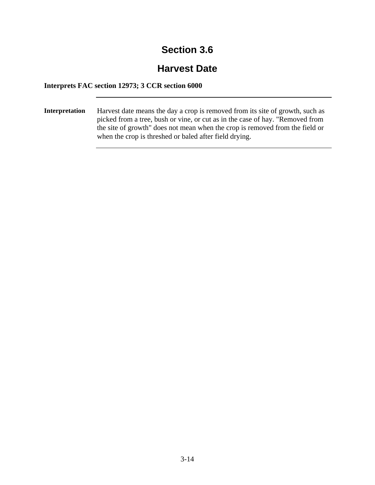## **Harvest Date**

### **Interprets FAC section 12973; 3 CCR section 6000**

**Interpretation** Harvest date means the day a crop is removed from its site of growth, such as picked from a tree, bush or vine, or cut as in the case of hay. "Removed from the site of growth" does not mean when the crop is removed from the field or when the crop is threshed or baled after field drying.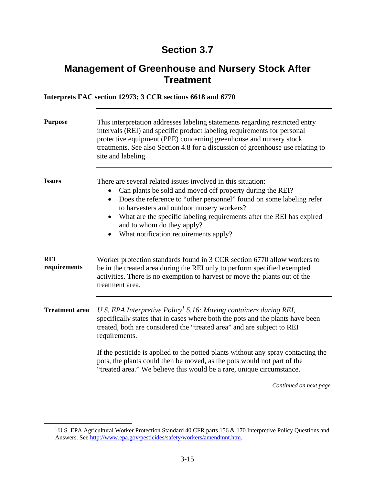### **Management of Greenhouse and Nursery Stock After Treatment**

### **Interprets FAC section 12973; 3 CCR sections 6618 and 6770**

| <b>Purpose</b>             | This interpretation addresses labeling statements regarding restricted entry<br>intervals (REI) and specific product labeling requirements for personal<br>protective equipment (PPE) concerning greenhouse and nursery stock<br>treatments. See also Section 4.8 for a discussion of greenhouse use relating to<br>site and labeling.                                                                       |
|----------------------------|--------------------------------------------------------------------------------------------------------------------------------------------------------------------------------------------------------------------------------------------------------------------------------------------------------------------------------------------------------------------------------------------------------------|
| <b>Issues</b>              | There are several related issues involved in this situation:<br>Can plants be sold and moved off property during the REI?<br>Does the reference to "other personnel" found on some labeling refer<br>$\bullet$<br>to harvesters and outdoor nursery workers?<br>What are the specific labeling requirements after the REI has expired<br>and to whom do they apply?<br>What notification requirements apply? |
| <b>REI</b><br>requirements | Worker protection standards found in 3 CCR section 6770 allow workers to<br>be in the treated area during the REI only to perform specified exempted<br>activities. There is no exemption to harvest or move the plants out of the<br>treatment area.                                                                                                                                                        |
| <b>Treatment</b> area      | U.S. EPA Interpretive $Policy1 5.16$ : Moving containers during REI,<br>specifically states that in cases where both the pots and the plants have been<br>treated, both are considered the "treated area" and are subject to REI<br>requirements.                                                                                                                                                            |
|                            | If the pesticide is applied to the potted plants without any spray contacting the<br>pots, the plants could then be moved, as the pots would not part of the<br>"treated area." We believe this would be a rare, unique circumstance.                                                                                                                                                                        |

<sup>&</sup>lt;sup>1</sup> U.S. EPA Agricultural Worker Protection Standard 40 CFR parts 156 & 170 Interpretive Policy Questions and Answers. See http://www.epa.gov/pesticides/safety/workers/amendmnt.htm.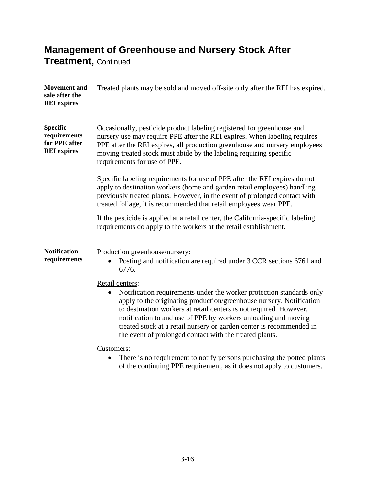# **Management of Greenhouse and Nursery Stock After**

**Treatment,** Continued

| <b>Movement</b> and<br>sale after the<br><b>REI</b> expires            | Treated plants may be sold and moved off-site only after the REI has expired.                                                                                                                                                                                                                                                                                                                                                                           |
|------------------------------------------------------------------------|---------------------------------------------------------------------------------------------------------------------------------------------------------------------------------------------------------------------------------------------------------------------------------------------------------------------------------------------------------------------------------------------------------------------------------------------------------|
| <b>Specific</b><br>requirements<br>for PPE after<br><b>REI</b> expires | Occasionally, pesticide product labeling registered for greenhouse and<br>nursery use may require PPE after the REI expires. When labeling requires<br>PPE after the REI expires, all production greenhouse and nursery employees<br>moving treated stock must abide by the labeling requiring specific<br>requirements for use of PPE.                                                                                                                 |
|                                                                        | Specific labeling requirements for use of PPE after the REI expires do not<br>apply to destination workers (home and garden retail employees) handling<br>previously treated plants. However, in the event of prolonged contact with<br>treated foliage, it is recommended that retail employees wear PPE.                                                                                                                                              |
|                                                                        | If the pesticide is applied at a retail center, the California-specific labeling<br>requirements do apply to the workers at the retail establishment.                                                                                                                                                                                                                                                                                                   |
| <b>Notification</b><br>requirements                                    | Production greenhouse/nursery:<br>Posting and notification are required under 3 CCR sections 6761 and<br>6776.                                                                                                                                                                                                                                                                                                                                          |
|                                                                        | Retail centers:<br>Notification requirements under the worker protection standards only<br>$\bullet$<br>apply to the originating production/greenhouse nursery. Notification<br>to destination workers at retail centers is not required. However,<br>notification to and use of PPE by workers unloading and moving<br>treated stock at a retail nursery or garden center is recommended in<br>the event of prolonged contact with the treated plants. |
|                                                                        | Customers:<br>There is no requirement to notify persons purchasing the potted plants<br>of the continuing PPE requirement, as it does not apply to customers.                                                                                                                                                                                                                                                                                           |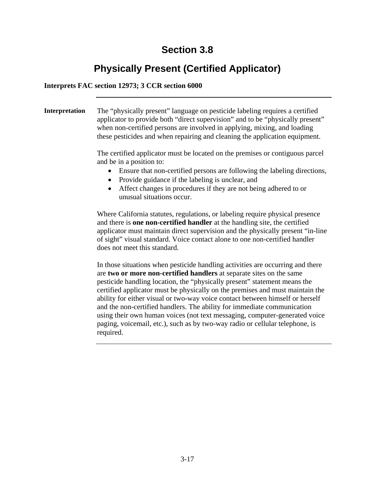# **Physically Present (Certified Applicator)**

### **Interprets FAC section 12973; 3 CCR section 6000**

**Interpretation** The "physically present" language on pesticide labeling requires a certified applicator to provide both "direct supervision" and to be "physically present" when non-certified persons are involved in applying, mixing, and loading these pesticides and when repairing and cleaning the application equipment. The certified applicator must be located on the premises or contiguous parcel and be in a position to: • Ensure that non-certified persons are following the labeling directions, • Provide guidance if the labeling is unclear, and • Affect changes in procedures if they are not being adhered to or unusual situations occur. Where California statutes, regulations, or labeling require physical presence

and there is **one non-certified handler** at the handling site, the certified applicator must maintain direct supervision and the physically present "in-line of sight" visual standard. Voice contact alone to one non-certified handler does not meet this standard.

In those situations when pesticide handling activities are occurring and there are **two or more non-certified handlers** at separate sites on the same pesticide handling location, the "physically present" statement means the certified applicator must be physically on the premises and must maintain the ability for either visual or two-way voice contact between himself or herself and the non-certified handlers. The ability for immediate communication using their own human voices (not text messaging, computer-generated voice paging, voicemail, etc.), such as by two-way radio or cellular telephone, is required.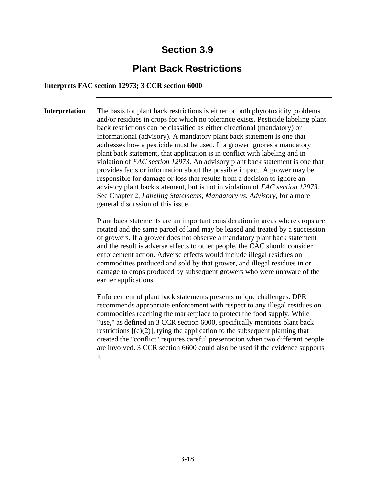### **Plant Back Restrictions**

#### **Interprets FAC section 12973; 3 CCR section 6000**

**Interpretation** The basis for plant back restrictions is either or both phytotoxicity problems and/or residues in crops for which no tolerance exists. Pesticide labeling plant back restrictions can be classified as either directional (mandatory) or informational (advisory). A mandatory plant back statement is one that addresses how a pesticide must be used. If a grower ignores a mandatory plant back statement, that application is in conflict with labeling and in violation of *FAC section 12973.* An advisory plant back statement is one that provides facts or information about the possible impact. A grower may be responsible for damage or loss that results from a decision to ignore an advisory plant back statement, but is not in violation of *FAC section 12973*. See Chapter 2, *Labeling Statements, Mandatory vs. Advisory*, for a more general discussion of this issue.

> Plant back statements are an important consideration in areas where crops are rotated and the same parcel of land may be leased and treated by a succession of growers. If a grower does not observe a mandatory plant back statement and the result is adverse effects to other people, the CAC should consider enforcement action. Adverse effects would include illegal residues on commodities produced and sold by that grower, and illegal residues in or damage to crops produced by subsequent growers who were unaware of the earlier applications.

> Enforcement of plant back statements presents unique challenges. DPR recommends appropriate enforcement with respect to any illegal residues on commodities reaching the marketplace to protect the food supply. While "use," as defined in 3 CCR section 6000, specifically mentions plant back restrictions  $[(c)(2)]$ , tying the application to the subsequent planting that created the "conflict" requires careful presentation when two different people are involved. 3 CCR section 6600 could also be used if the evidence supports it.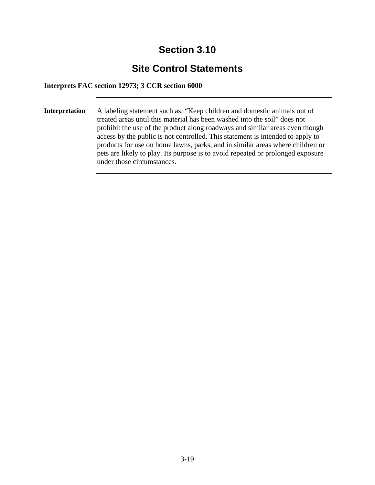## **Site Control Statements**

**Interprets FAC section 12973; 3 CCR section 6000** 

**Interpretation** A labeling statement such as, "Keep children and domestic animals out of treated areas until this material has been washed into the soil" does not prohibit the use of the product along roadways and similar areas even though access by the public is not controlled. This statement is intended to apply to products for use on home lawns, parks, and in similar areas where children or pets are likely to play. Its purpose is to avoid repeated or prolonged exposure under those circumstances.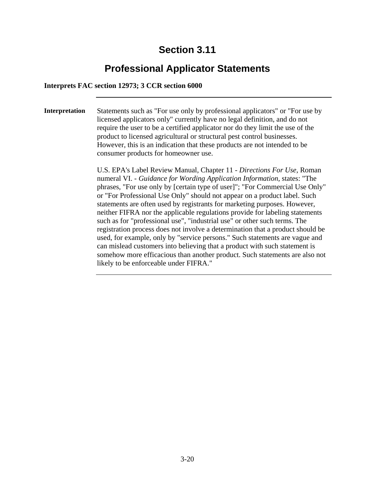# **Professional Applicator Statements**

### **Interprets FAC section 12973; 3 CCR section 6000**

**Interpretation** Statements such as "For use only by professional applicators" or "For use by licensed applicators only" currently have no legal definition, and do not require the user to be a certified applicator nor do they limit the use of the product to licensed agricultural or structural pest control businesses. However, this is an indication that these products are not intended to be consumer products for homeowner use.

> U.S. EPA's Label Review Manual, Chapter 11 - *Directions For Use*, Roman numeral VI. - *Guidance for Wording Application Information*, states: "The phrases, "For use only by [certain type of user]"; "For Commercial Use Only" or "For Professional Use Only" should not appear on a product label. Such statements are often used by registrants for marketing purposes. However, neither FIFRA nor the applicable regulations provide for labeling statements such as for "professional use", "industrial use" or other such terms. The registration process does not involve a determination that a product should be used, for example, only by "service persons." Such statements are vague and can mislead customers into believing that a product with such statement is somehow more efficacious than another product. Such statements are also not likely to be enforceable under FIFRA."